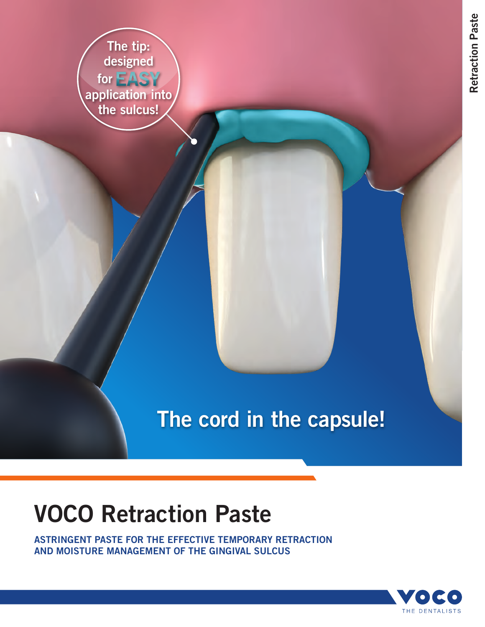The tip: designed **for EASY** application into the sulcus!

## The cord in the capsule!

# VOCO Retraction Paste

ASTRINGENT PASTE FOR THE EFFECTIVE TEMPORARY RETRACTION AND MOISTURE MANAGEMENT OF THE GINGIVAL SULCUS